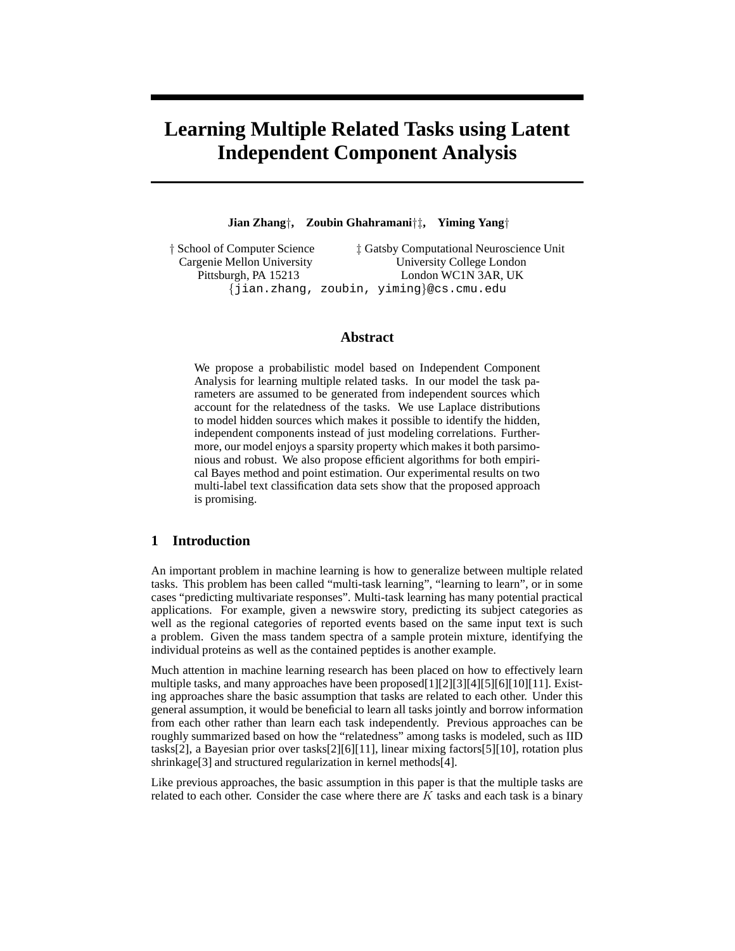# **Learning Multiple Related Tasks using Latent Independent Component Analysis**

**Jian Zhang**†**, Zoubin Ghahramani**†‡**, Yiming Yang**†

† School of Computer Science ‡ Gatsby Computational Neuroscience Unit Cargenie Mellon University University College London Pittsburgh, PA 15213 London WC1N 3AR, UK {jian.zhang, zoubin, yiming}@cs.cmu.edu

## **Abstract**

We propose a probabilistic model based on Independent Component Analysis for learning multiple related tasks. In our model the task parameters are assumed to be generated from independent sources which account for the relatedness of the tasks. We use Laplace distributions to model hidden sources which makes it possible to identify the hidden, independent components instead of just modeling correlations. Furthermore, our model enjoys a sparsity property which makes it both parsimonious and robust. We also propose efficient algorithms for both empirical Bayes method and point estimation. Our experimental results on two multi-label text classification data sets show that the proposed approach is promising.

# **1 Introduction**

An important problem in machine learning is how to generalize between multiple related tasks. This problem has been called "multi-task learning", "learning to learn", or in some cases "predicting multivariate responses". Multi-task learning has many potential practical applications. For example, given a newswire story, predicting its subject categories as well as the regional categories of reported events based on the same input text is such a problem. Given the mass tandem spectra of a sample protein mixture, identifying the individual proteins as well as the contained peptides is another example.

Much attention in machine learning research has been placed on how to effectively learn multiple tasks, and many approaches have been proposed[1][2][3][4][5][6][10][11]. Existing approaches share the basic assumption that tasks are related to each other. Under this general assumption, it would be beneficial to learn all tasks jointly and borrow information from each other rather than learn each task independently. Previous approaches can be roughly summarized based on how the "relatedness" among tasks is modeled, such as IID tasks[2], a Bayesian prior over tasks[2][6][11], linear mixing factors[5][10], rotation plus shrinkage[3] and structured regularization in kernel methods[4].

Like previous approaches, the basic assumption in this paper is that the multiple tasks are related to each other. Consider the case where there are  $K$  tasks and each task is a binary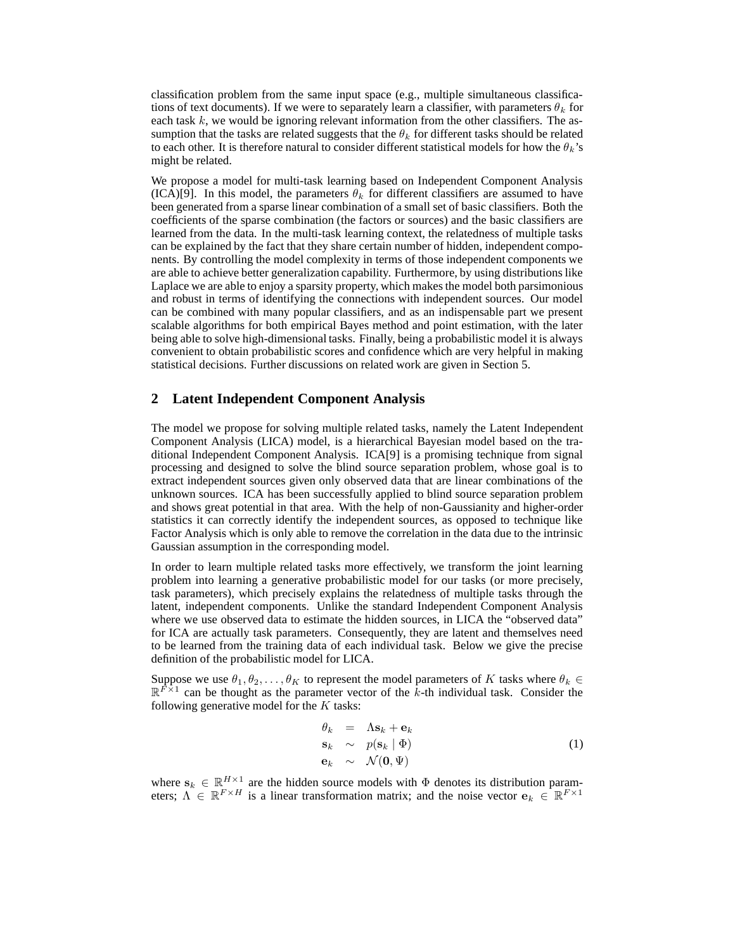classification problem from the same input space (e.g., multiple simultaneous classifications of text documents). If we were to separately learn a classifier, with parameters  $\theta_k$  for each task  $k$ , we would be ignoring relevant information from the other classifiers. The assumption that the tasks are related suggests that the  $\theta_k$  for different tasks should be related to each other. It is therefore natural to consider different statistical models for how the  $\theta_k$ 's might be related.

We propose a model for multi-task learning based on Independent Component Analysis  $(ICA)[9]$ . In this model, the parameters  $\theta_k$  for different classifiers are assumed to have been generated from a sparse linear combination of a small set of basic classifiers. Both the coefficients of the sparse combination (the factors or sources) and the basic classifiers are learned from the data. In the multi-task learning context, the relatedness of multiple tasks can be explained by the fact that they share certain number of hidden, independent components. By controlling the model complexity in terms of those independent components we are able to achieve better generalization capability. Furthermore, by using distributions like Laplace we are able to enjoy a sparsity property, which makes the model both parsimonious and robust in terms of identifying the connections with independent sources. Our model can be combined with many popular classifiers, and as an indispensable part we present scalable algorithms for both empirical Bayes method and point estimation, with the later being able to solve high-dimensional tasks. Finally, being a probabilistic model it is always convenient to obtain probabilistic scores and confidence which are very helpful in making statistical decisions. Further discussions on related work are given in Section 5.

## **2 Latent Independent Component Analysis**

The model we propose for solving multiple related tasks, namely the Latent Independent Component Analysis (LICA) model, is a hierarchical Bayesian model based on the traditional Independent Component Analysis. ICA[9] is a promising technique from signal processing and designed to solve the blind source separation problem, whose goal is to extract independent sources given only observed data that are linear combinations of the unknown sources. ICA has been successfully applied to blind source separation problem and shows great potential in that area. With the help of non-Gaussianity and higher-order statistics it can correctly identify the independent sources, as opposed to technique like Factor Analysis which is only able to remove the correlation in the data due to the intrinsic Gaussian assumption in the corresponding model.

In order to learn multiple related tasks more effectively, we transform the joint learning problem into learning a generative probabilistic model for our tasks (or more precisely, task parameters), which precisely explains the relatedness of multiple tasks through the latent, independent components. Unlike the standard Independent Component Analysis where we use observed data to estimate the hidden sources, in LICA the "observed data" for ICA are actually task parameters. Consequently, they are latent and themselves need to be learned from the training data of each individual task. Below we give the precise definition of the probabilistic model for LICA.

Suppose we use  $\theta_1, \theta_2, \ldots, \theta_K$  to represent the model parameters of K tasks where  $\theta_k \in$  $\mathbb{R}^{F \times 1}$  can be thought as the parameter vector of the k-th individual task. Consider the following generative model for the  $K$  tasks:

$$
\begin{array}{rcl}\n\theta_k & = & \Lambda s_k + \mathbf{e}_k \\
\mathbf{s}_k & \sim & p(\mathbf{s}_k \mid \Phi) \\
\mathbf{e}_k & \sim & \mathcal{N}(\mathbf{0}, \Psi)\n\end{array} \tag{1}
$$

where  $\mathbf{s}_k \in \mathbb{R}^{H \times 1}$  are the hidden source models with  $\Phi$  denotes its distribution parameters;  $\Lambda \in \mathbb{R}^{F \times H}$  is a linear transformation matrix; and the noise vector  $\mathbf{e}_k \in \mathbb{R}^{F \times 1}$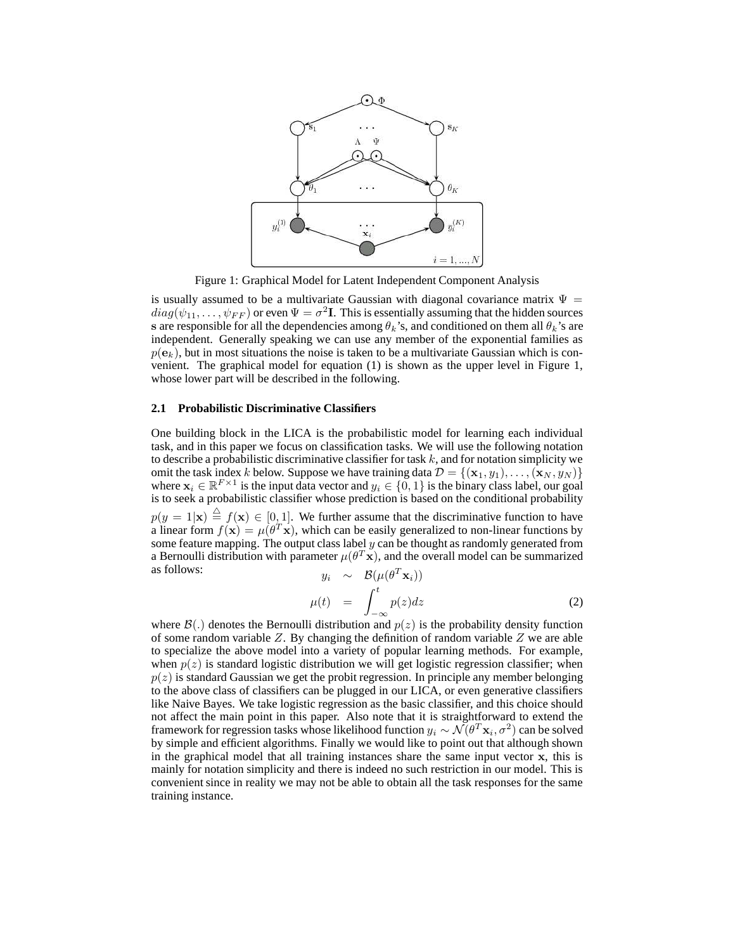

Figure 1: Graphical Model for Latent Independent Component Analysis

is usually assumed to be a multivariate Gaussian with diagonal covariance matrix  $\Psi =$  $diag(\psi_{11},\ldots,\psi_{FF})$  or even  $\Psi=\sigma^2\mathbf{I}$ . This is essentially assuming that the hidden sources s are responsible for all the dependencies among  $\theta_k$ 's, and conditioned on them all  $\theta_k$ 's are independent. Generally speaking we can use any member of the exponential families as  $p(\mathbf{e}_k)$ , but in most situations the noise is taken to be a multivariate Gaussian which is convenient. The graphical model for equation (1) is shown as the upper level in Figure 1, whose lower part will be described in the following.

#### **2.1 Probabilistic Discriminative Classifiers**

One building block in the LICA is the probabilistic model for learning each individual task, and in this paper we focus on classification tasks. We will use the following notation to describe a probabilistic discriminative classifier for task  $k$ , and for notation simplicity we omit the task index k below. Suppose we have training data  $\mathcal{D} = \{(\mathbf{x}_1, y_1), \dots, (\mathbf{x}_N, y_N)\}\$ where  $x_i \in \mathbb{R}^{F \times 1}$  is the input data vector and  $y_i \in \{0, 1\}$  is the binary class label, our goal is to seek a probabilistic classifier whose prediction is based on the conditional probability  $p(y = 1|\mathbf{x}) \stackrel{\triangle}{=} f(\mathbf{x}) \in [0, 1]$ . We further assume that the discriminative function to have a linear form  $f(\mathbf{x}) = \mu(\theta^T \mathbf{x})$ , which can be easily generalized to non-linear functions by some feature mapping. The output class label  $y$  can be thought as randomly generated from a Bernoulli distribution with parameter  $\mu(\theta^T\mathbf{x})$ , and the overall model can be summarized as follows:  $\mathbf{r}$   $\alpha T$  )

$$
y_i \sim \mathcal{B}(\mu(\theta^T \mathbf{x}_i))
$$
  
\n
$$
\mu(t) = \int_{-\infty}^t p(z) dz
$$
\n(2)

where  $\mathcal{B}(.)$  denotes the Bernoulli distribution and  $p(z)$  is the probability density function of some random variable  $Z$ . By changing the definition of random variable  $Z$  we are able to specialize the above model into a variety of popular learning methods. For example, when  $p(z)$  is standard logistic distribution we will get logistic regression classifier; when  $p(z)$  is standard Gaussian we get the probit regression. In principle any member belonging to the above class of classifiers can be plugged in our LICA, or even generative classifiers like Naive Bayes. We take logistic regression as the basic classifier, and this choice should not affect the main point in this paper. Also note that it is straightforward to extend the framework for regression tasks whose likelihood function  $y_i \sim \mathcal{N}(\theta^T \mathbf{x}_i, \sigma^2)$  can be solved by simple and efficient algorithms. Finally we would like to point out that although shown in the graphical model that all training instances share the same input vector x, this is mainly for notation simplicity and there is indeed no such restriction in our model. This is convenient since in reality we may not be able to obtain all the task responses for the same training instance.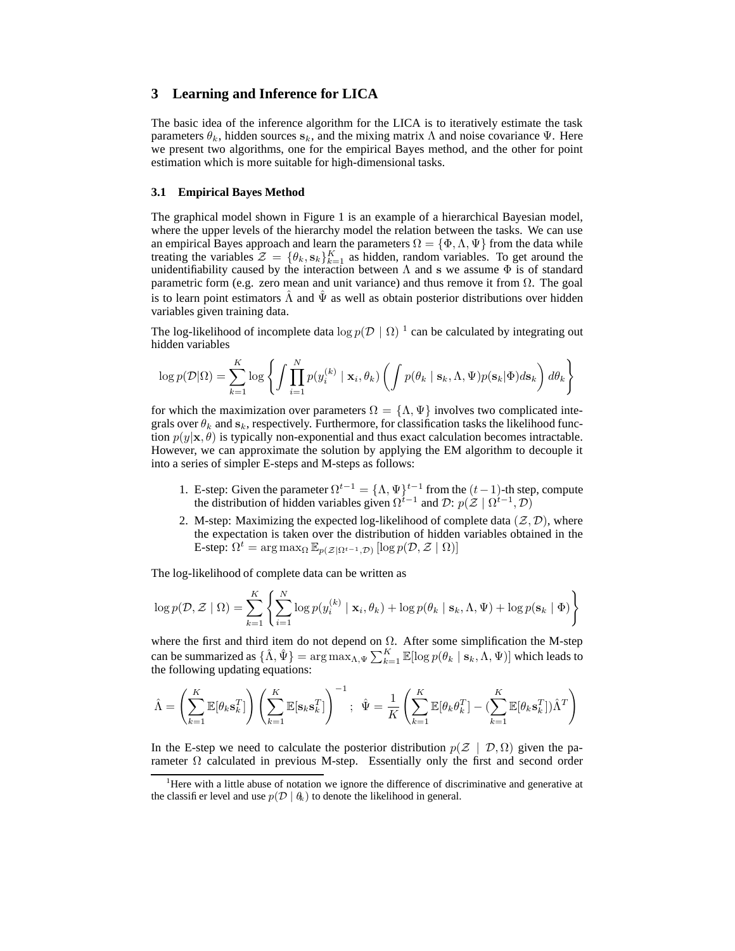## **3 Learning and Inference for LICA**

The basic idea of the inference algorithm for the LICA is to iteratively estimate the task parameters  $\theta_k$ , hidden sources  $s_k$ , and the mixing matrix  $\Lambda$  and noise covariance  $\Psi$ . Here we present two algorithms, one for the empirical Bayes method, and the other for point estimation which is more suitable for high-dimensional tasks.

#### **3.1 Empirical Bayes Method**

The graphical model shown in Figure 1 is an example of a hierarchical Bayesian model, where the upper levels of the hierarchy model the relation between the tasks. We can use an empirical Bayes approach and learn the parameters  $\Omega = \{\Phi, \Lambda, \Psi\}$  from the data while treating the variables  $\mathcal{Z} = \{\theta_k, s_k\}_{k=1}^K$  as hidden, random variables. To get around the unidentifiability caused by the interaction between  $\Lambda$  and s we assume  $\Phi$  is of standard parametric form (e.g. zero mean and unit variance) and thus remove it from  $\Omega$ . The goal is to learn point estimators  $\hat{\Lambda}$  and  $\Psi$  as well as obtain posterior distributions over hidden variables given training data.

The log-likelihood of incomplete data  $\log p(\mathcal{D} \mid \Omega)^{-1}$  can be calculated by integrating out hidden variables

$$
\log p(\mathcal{D}|\Omega) = \sum_{k=1}^{K} \log \left\{ \int \prod_{i=1}^{N} p(y_i^{(k)} | \mathbf{x}_i, \theta_k) \left( \int p(\theta_k | \mathbf{s}_k, \Lambda, \Psi) p(\mathbf{s}_k | \Phi) d\mathbf{s}_k \right) d\theta_k \right\}
$$

for which the maximization over parameters  $\Omega = {\Lambda, \Psi}$  involves two complicated integrals over  $\theta_k$  and  $s_k$ , respectively. Furthermore, for classification tasks the likelihood function  $p(y|\mathbf{x}, \theta)$  is typically non-exponential and thus exact calculation becomes intractable. However, we can approximate the solution by applying the EM algorithm to decouple it into a series of simpler E-steps and M-steps as follows:

- 1. E-step: Given the parameter  $\Omega^{t-1} = {\{\Lambda, \Psi\}}^{t-1}$  from the  $(t-1)$ -th step, compute the distribution of hidden variables given  $\Omega^{t-1}$  and  $\mathcal{D}$ :  $p(\mathcal{Z} | \Omega^{t-1}, \mathcal{D})$
- 2. M-step: Maximizing the expected log-likelihood of complete data  $(\mathcal{Z}, \mathcal{D})$ , where the expectation is taken over the distribution of hidden variables obtained in the E-step:  $\Omega^t = \arg \max_{\Omega} \mathbb{E}_{p(\mathcal{Z}|\Omega^{t-1}, \mathcal{D})} [\log p(\mathcal{D}, \mathcal{Z} | \Omega)]$

The log-likelihood of complete data can be written as

$$
\log p(\mathcal{D}, \mathcal{Z} \mid \Omega) = \sum_{k=1}^{K} \left\{ \sum_{i=1}^{N} \log p(y_i^{(k)} \mid \mathbf{x}_i, \theta_k) + \log p(\theta_k \mid \mathbf{s}_k, \Lambda, \Psi) + \log p(\mathbf{s}_k \mid \Phi) \right\}
$$

where the first and third item do not depend on  $\Omega$ . After some simplification the M-step can be summarized as  $\{\hat{\Lambda}, \hat{\Psi}\} = \argmax_{\Lambda, \Psi} \sum_{k=1}^K \mathbb{E}[\log p(\theta_k \mid \mathbf{s}_k, \Lambda, \Psi)]$  which leads to the following updating equations:

$$
\hat{\Lambda} = \left(\sum_{k=1}^{K} \mathbb{E}[\theta_k \mathbf{s}_k^T] \right) \left(\sum_{k=1}^{K} \mathbb{E}[\mathbf{s}_k \mathbf{s}_k^T] \right)^{-1}; \quad \hat{\Psi} = \frac{1}{K} \left(\sum_{k=1}^{K} \mathbb{E}[\theta_k \theta_k^T] - \left(\sum_{k=1}^{K} \mathbb{E}[\theta_k \mathbf{s}_k^T] \right) \hat{\Lambda}^T \right)
$$

In the E-step we need to calculate the posterior distribution  $p(\mathcal{Z} \mid \mathcal{D}, \Omega)$  given the parameter  $\Omega$  calculated in previous M-step. Essentially only the first and second order

<sup>&</sup>lt;sup>1</sup>Here with a little abuse of notation we ignore the difference of discriminative and generative at the classifier level and use  $p(\mathcal{D} | \theta_k)$  to denote the likelihood in general.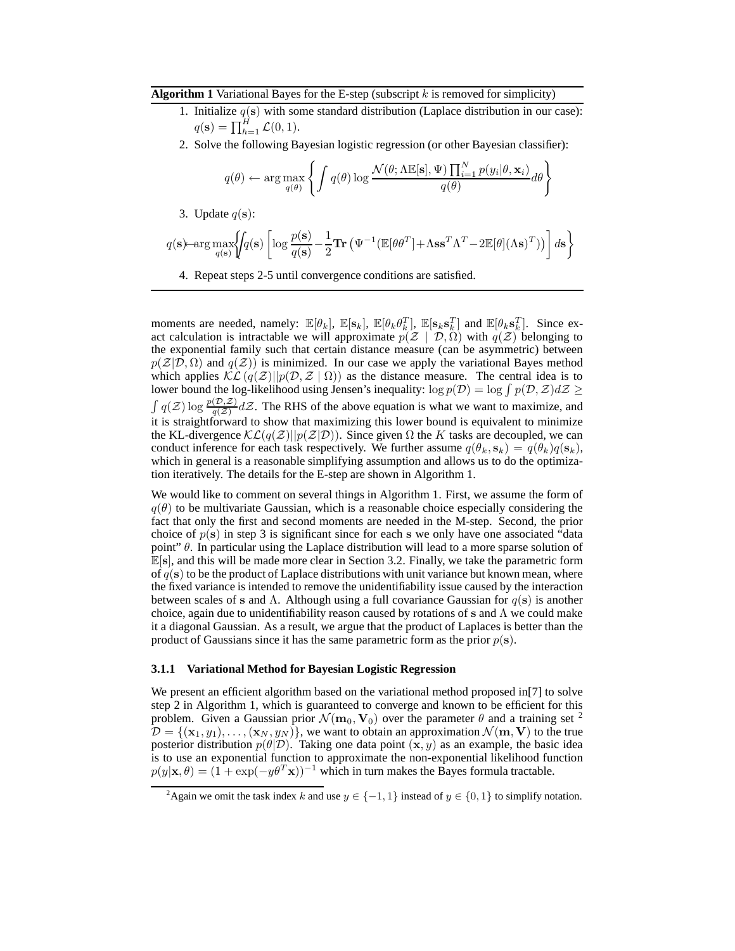#### **Algorithm 1** Variational Bayes for the E-step (subscript  $k$  is removed for simplicity)

- 1. Initialize  $q(s)$  with some standard distribution (Laplace distribution in our case):  $q(\mathbf{s}) = \prod_{h=1}^{H} \mathcal{L}(0, 1).$
- 2. Solve the following Bayesian logistic regression (or other Bayesian classifier):

$$
q(\theta) \leftarrow \arg \max_{q(\theta)} \left\{ \int q(\theta) \log \frac{\mathcal{N}(\theta; \Lambda \mathbb{E}[\mathbf{s}], \Psi) \prod_{i=1}^{N} p(y_i | \theta, \mathbf{x}_i)}{q(\theta)} d\theta \right\}
$$

3. Update  $q(\mathbf{s})$ :

$$
q({\bf s})\!\!-\!\!\operatorname{arg}\max_{q({\bf s})}\!\!\left\{\!\!\!\int\!\!\! q({\bf s})\left[\log\frac{p({\bf s})}{q({\bf s})}\!-\!\frac{1}{2}\textbf{Tr}\left(\Psi^{-1}(\mathbb{E}[\theta\theta^T]\!+\!\Lambda{\bf s}{\bf s}^T\Lambda^T\!-\!2\mathbb{E}[\theta](\Lambda{\bf s})^T))\right]d{\bf s}\right\}
$$

4. Repeat steps 2-5 until convergence conditions are satisfied.

moments are needed, namely:  $\mathbb{E}[\theta_k]$ ,  $\mathbb{E}[\mathbf{s}_k]$ ,  $\mathbb{E}[\theta_k \theta_k^T]$ ,  $\mathbb{E}[\mathbf{s}_k \mathbf{s}_k^T]$  and  $\mathbb{E}[\theta_k \mathbf{s}_k^T]$ . Since exact calculation is intractable we will approximate  $p(\mathcal{Z} \mid \mathcal{D}, \Omega)$  with  $q(\mathcal{Z})$  belonging to the exponential family such that certain distance measure (can be asymmetric) between  $p(\mathcal{Z}|\mathcal{D}, \Omega)$  and  $q(\mathcal{Z})$ ) is minimized. In our case we apply the variational Bayes method which applies  $\mathcal{KL}(q(\mathcal{Z})||p(\mathcal{D}, \mathcal{Z} | \Omega))$  as the distance measure. The central idea is to lower bound the log-likelihood using Jensen's inequality:  $\log p(\mathcal{D}) = \log \int p(\mathcal{D}, \mathcal{Z}) d\mathcal{Z} \geq$  $\int q(\mathcal{Z}) \log \frac{p(\mathcal{D}, \mathcal{Z})}{q(\mathcal{Z})} d\mathcal{Z}$ . The RHS of the above equation is what we want to maximize, and it is straightforward to show that maximizing this lower bound is equivalent to minimize the KL-divergence  $\mathcal{KL}(q(\mathcal{Z})||p(\mathcal{Z}|\mathcal{D}))$ . Since given  $\Omega$  the K tasks are decoupled, we can conduct inference for each task respectively. We further assume  $q(\theta_k, \mathbf{s}_k) = q(\theta_k)q(\mathbf{s}_k)$ , which in general is a reasonable simplifying assumption and allows us to do the optimization iteratively. The details for the E-step are shown in Algorithm 1.

We would like to comment on several things in Algorithm 1. First, we assume the form of  $q(\theta)$  to be multivariate Gaussian, which is a reasonable choice especially considering the fact that only the first and second moments are needed in the M-step. Second, the prior choice of  $p(s)$  in step 3 is significant since for each s we only have one associated "data" point"  $\theta$ . In particular using the Laplace distribution will lead to a more sparse solution of  $\mathbb{E}[\mathbf{s}]$ , and this will be made more clear in Section 3.2. Finally, we take the parametric form of  $q(s)$  to be the product of Laplace distributions with unit variance but known mean, where the fixed variance is intended to remove the unidentifiability issue caused by the interaction between scales of s and Λ. Although using a full covariance Gaussian for  $q(s)$  is another choice, again due to unidentifiability reason caused by rotations of s and  $\Lambda$  we could make it a diagonal Gaussian. As a result, we argue that the product of Laplaces is better than the product of Gaussians since it has the same parametric form as the prior  $p(s)$ .

#### **3.1.1 Variational Method for Bayesian Logistic Regression**

We present an efficient algorithm based on the variational method proposed in[7] to solve step 2 in Algorithm 1, which is guaranteed to converge and known to be efficient for this problem. Given a Gaussian prior  $\mathcal{N}(\mathbf{m}_0, \mathbf{V}_0)$  over the parameter  $\theta$  and a training set <sup>2</sup>  $D = \{(\mathbf{x}_1, y_1), \dots, (\mathbf{x}_N, y_N)\}\$ , we want to obtain an approximation  $\mathcal{N}(\mathbf{m}, \mathbf{V})$  to the true posterior distribution  $p(\theta|\mathcal{D})$ . Taking one data point  $(\mathbf{x}, y)$  as an example, the basic idea is to use an exponential function to approximate the non-exponential likelihood function  $p(y|\mathbf{x}, \theta) = (1 + \exp(-y\theta^T \mathbf{x}))^{-1}$  which in turn makes the Bayes formula tractable.

<sup>&</sup>lt;sup>2</sup>Again we omit the task index k and use  $y \in \{-1, 1\}$  instead of  $y \in \{0, 1\}$  to simplify notation.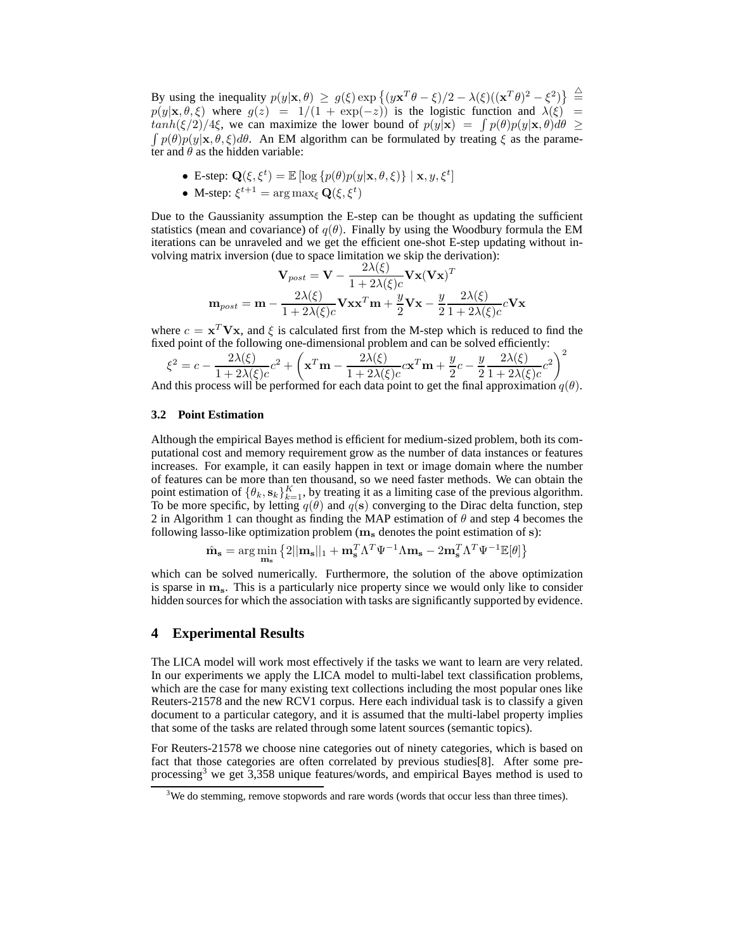By using the inequality  $p(y|\mathbf{x}, \theta) \geq g(\xi) \exp \{(yx^T\theta - \xi)/2 - \lambda(\xi)((\mathbf{x}^T\theta)^2 - \xi^2)\}\stackrel{\triangle}{=}$  $p(y|\mathbf{x},\theta,\xi)$  where  $g(z) = 1/(1 + \exp(-z))$  is the logistic function and  $\lambda(\xi)$  =  $tanh(\xi/2)/4\xi$ , we can maximize the lower bound of  $p(y|\mathbf{x}) = \int p(\theta)p(y|\mathbf{x}, \theta)d\theta \ge$  $\int p(\theta)p(y|\mathbf{x},\theta,\xi)d\theta$ . An EM algorithm can be formulated by treating  $\xi$  as the parameter and  $\theta$  as the hidden variable:

• E-step: 
$$
\mathbf{Q}(\xi, \xi^t) = \mathbb{E} [\log \{p(\theta)p(y|\mathbf{x}, \theta, \xi)\} | \mathbf{x}, y, \xi^t]
$$

• M-step:  $\xi^{t+1} = \arg \max_{\xi} \mathbf{Q}(\xi, \xi^t)$ 

Due to the Gaussianity assumption the E-step can be thought as updating the sufficient statistics (mean and covariance) of  $q(\theta)$ . Finally by using the Woodbury formula the EM iterations can be unraveled and we get the efficient one-shot E-step updating without involving matrix inversion (due to space limitation we skip the derivation):

$$
\mathbf{V}_{post} = \mathbf{V} - \frac{2\lambda(\xi)}{1 + 2\lambda(\xi)c} \mathbf{V} \mathbf{x} (\mathbf{V} \mathbf{x})^T
$$

$$
\mathbf{m}_{post} = \mathbf{m} - \frac{2\lambda(\xi)}{1 + 2\lambda(\xi)c} \mathbf{V} \mathbf{x} \mathbf{x}^T \mathbf{m} + \frac{y}{2} \mathbf{V} \mathbf{x} - \frac{y}{2} \frac{2\lambda(\xi)}{1 + 2\lambda(\xi)c} c \mathbf{V} \mathbf{x}
$$

where  $c = \mathbf{x}^T \mathbf{V} \mathbf{x}$ , and  $\xi$  is calculated first from the M-step which is reduced to find the fixed point of the following one-dimensional problem and can be solved efficiently:

$$
\xi^2 = c - \frac{2\lambda(\xi)}{1 + 2\lambda(\xi)c}c^2 + \left(\mathbf{x}^T\mathbf{m} - \frac{2\lambda(\xi)}{1 + 2\lambda(\xi)c}c\mathbf{x}^T\mathbf{m} + \frac{y}{2}c - \frac{y}{2}\frac{2\lambda(\xi)}{1 + 2\lambda(\xi)c}c^2\right)^2
$$

And this process will be performed for each data point to get the final approximation  $q(\theta)$ .

## **3.2 Point Estimation**

Although the empirical Bayes method is efficient for medium-sized problem, both its computational cost and memory requirement grow as the number of data instances or features increases. For example, it can easily happen in text or image domain where the number of features can be more than ten thousand, so we need faster methods. We can obtain the point estimation of  $\{\theta_k, s_k\}_{k=1}^K$ , by treating it as a limiting case of the previous algorithm. To be more specific, by letting  $q(\theta)$  and  $q(s)$  converging to the Dirac delta function, step 2 in Algorithm 1 can thought as finding the MAP estimation of  $\theta$  and step 4 becomes the following lasso-like optimization problem  $(m_s$  denotes the point estimation of s):

$$
\hat{\mathbf{m}}_{\mathbf{s}} = \arg\min_{\mathbf{m}_{\mathbf{s}}} \left\{ 2||\mathbf{m}_{\mathbf{s}}||_1 + \mathbf{m}_{\mathbf{s}}^T \boldsymbol{\Lambda}^T \boldsymbol{\Psi}^{-1} \boldsymbol{\Lambda} \mathbf{m}_{\mathbf{s}} - 2\mathbf{m}_{\mathbf{s}}^T \boldsymbol{\Lambda}^T \boldsymbol{\Psi}^{-1} \mathbb{E}[\theta] \right\}
$$

which can be solved numerically. Furthermore, the solution of the above optimization is sparse in  $m_s$ . This is a particularly nice property since we would only like to consider hidden sources for which the association with tasks are significantly supported by evidence.

## **4 Experimental Results**

The LICA model will work most effectively if the tasks we want to learn are very related. In our experiments we apply the LICA model to multi-label text classification problems, which are the case for many existing text collections including the most popular ones like Reuters-21578 and the new RCV1 corpus. Here each individual task is to classify a given document to a particular category, and it is assumed that the multi-label property implies that some of the tasks are related through some latent sources (semantic topics).

For Reuters-21578 we choose nine categories out of ninety categories, which is based on fact that those categories are often correlated by previous studies[8]. After some preprocessing<sup>3</sup> we get 3,358 unique features/words, and empirical Bayes method is used to

<sup>&</sup>lt;sup>3</sup>We do stemming, remove stopwords and rare words (words that occur less than three times).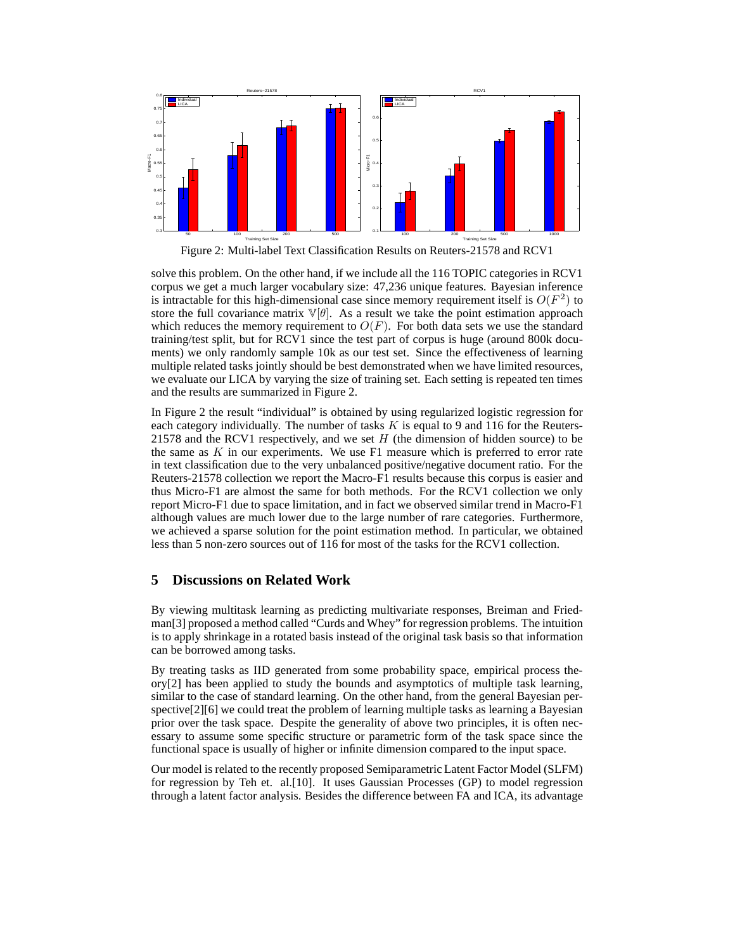

solve this problem. On the other hand, if we include all the 116 TOPIC categories in RCV1 corpus we get a much larger vocabulary size: 47,236 unique features. Bayesian inference is intractable for this high-dimensional case since memory requirement itself is  $O(F^2)$  to store the full covariance matrix  $\nabla[\theta]$ . As a result we take the point estimation approach which reduces the memory requirement to  $O(F)$ . For both data sets we use the standard training/test split, but for RCV1 since the test part of corpus is huge (around 800k documents) we only randomly sample 10k as our test set. Since the effectiveness of learning multiple related tasks jointly should be best demonstrated when we have limited resources, we evaluate our LICA by varying the size of training set. Each setting is repeated ten times and the results are summarized in Figure 2.

In Figure 2 the result "individual" is obtained by using regularized logistic regression for each category individually. The number of tasks  $K$  is equal to 9 and 116 for the Reuters-21578 and the RCV1 respectively, and we set  $H$  (the dimension of hidden source) to be the same as  $K$  in our experiments. We use  $F1$  measure which is preferred to error rate in text classification due to the very unbalanced positive/negative document ratio. For the Reuters-21578 collection we report the Macro-F1 results because this corpus is easier and thus Micro-F1 are almost the same for both methods. For the RCV1 collection we only report Micro-F1 due to space limitation, and in fact we observed similar trend in Macro-F1 although values are much lower due to the large number of rare categories. Furthermore, we achieved a sparse solution for the point estimation method. In particular, we obtained less than 5 non-zero sources out of 116 for most of the tasks for the RCV1 collection.

## **5 Discussions on Related Work**

By viewing multitask learning as predicting multivariate responses, Breiman and Friedman[3] proposed a method called "Curds and Whey" for regression problems. The intuition is to apply shrinkage in a rotated basis instead of the original task basis so that information can be borrowed among tasks.

By treating tasks as IID generated from some probability space, empirical process theory[2] has been applied to study the bounds and asymptotics of multiple task learning, similar to the case of standard learning. On the other hand, from the general Bayesian perspective[2][6] we could treat the problem of learning multiple tasks as learning a Bayesian prior over the task space. Despite the generality of above two principles, it is often necessary to assume some specific structure or parametric form of the task space since the functional space is usually of higher or infinite dimension compared to the input space.

Our model is related to the recently proposed Semiparametric Latent Factor Model (SLFM) for regression by Teh et. al.[10]. It uses Gaussian Processes (GP) to model regression through a latent factor analysis. Besides the difference between FA and ICA, its advantage